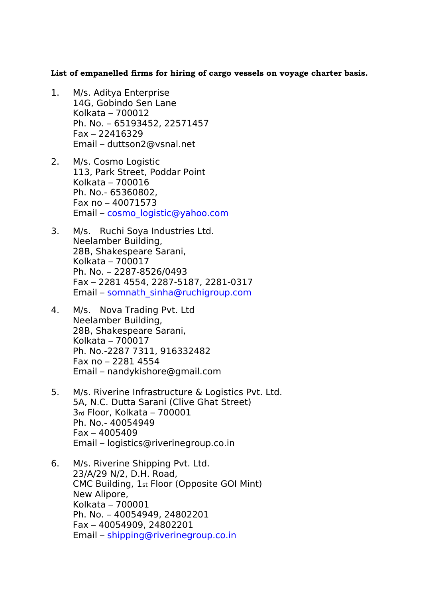**List of empanelled firms for hiring of cargo vessels on voyage charter basis.** 

- 1. M/s. Aditya Enterprise 14G, Gobindo Sen Lane Kolkata – 700012 Ph. No. – 65193452, 22571457 Fax – 22416329 Email – duttson2@vsnal.net
- 2. M/s. Cosmo Logistic 113, Park Street, Poddar Point Kolkata – 700016 Ph. No.- 65360802, Fax no – 40071573 Email – [cosmo\\_logistic@yahoo.com](mailto:cosmo_logistic@yahoo.com)
- 3. M/s. Ruchi Soya Industries Ltd. Neelamber Building, 28B, Shakespeare Sarani, Kolkata – 700017 Ph. No. – 2287-8526/0493 Fax – 2281 4554, 2287-5187, 2281-0317 Email – [somnath\\_sinha@ruchigroup.com](mailto:somnath_sinha@ruchigroup.com)
- 4. M/s. Nova Trading Pvt. Ltd Neelamber Building, 28B, Shakespeare Sarani, Kolkata – 700017 Ph. No.-2287 7311, 916332482 Fax no – 2281 4554 Email – nandykishore@gmail.com
- 5. M/s. Riverine Infrastructure & Logistics Pvt. Ltd. 5A, N.C. Dutta Sarani (Clive Ghat Street) 3rd Floor, Kolkata – 700001 Ph. No.- 40054949 Fax – 4005409 Email – logistics@riverinegroup.co.in
- 6. M/s. Riverine Shipping Pvt. Ltd. 23/A/29 N/2, D.H. Road, CMC Building, 1st Floor (Opposite GOI Mint) New Alipore, Kolkata – 700001 Ph. No. – 40054949, 24802201 Fax – 40054909, 24802201 Email – [shipping@riverinegroup.co.in](mailto:shipping@riverinegroup.co.in)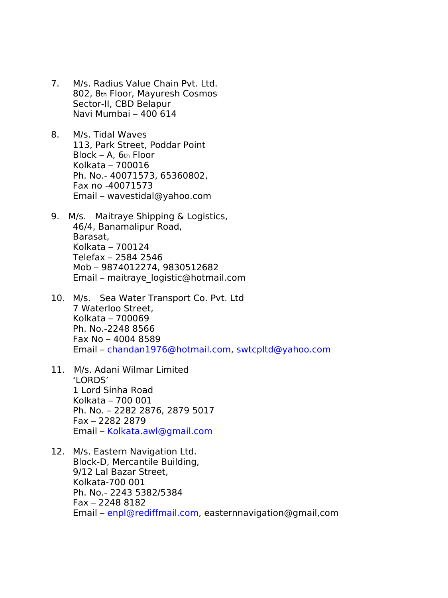- 7. M/s. Radius Value Chain Pvt. Ltd. 802, 8th Floor, Mayuresh Cosmos Sector-II, CBD Belapur Navi Mumbai – 400 614
- 8. M/s. Tidal Waves 113, Park Street, Poddar Point Block – A, 6th Floor Kolkata – 700016 Ph. No.- 40071573, 65360802, Fax no -40071573 Email – wavestidal@yahoo.com
- 9. M/s. Maitraye Shipping & Logistics, 46/4, Banamalipur Road, Barasat, Kolkata – 700124 Telefax – 2584 2546 Mob – 9874012274, 9830512682 Email – maitraye\_logistic@hotmail.com
- 10. M/s. Sea Water Transport Co. Pvt. Ltd 7 Waterloo Street, Kolkata – 700069 Ph. No.-2248 8566 Fax No – 4004 8589 Email – [chandan1976@hotmail.com,](mailto:chandan1976@hotmail.com) [swtcpltd@yahoo.com](mailto:swtcpltd@yahoo.com)
- 11. M/s. Adani Wilmar Limited 'LORDS' 1 Lord Sinha Road Kolkata – 700 001 Ph. No. – 2282 2876, 2879 5017 Fax – 2282 2879 Email – [Kolkata.awl@gmail.com](mailto:Kolkata.awl@gmail.com)
- 12. M/s. Eastern Navigation Ltd. Block-D, Mercantile Building, 9/12 Lal Bazar Street, Kolkata-700 001 Ph. No.- 2243 5382/5384 Fax – 2248 8182 Email – [enpl@rediffmail.com,](mailto:enpl@rediffmail.com) easternnavigation@gmail,com